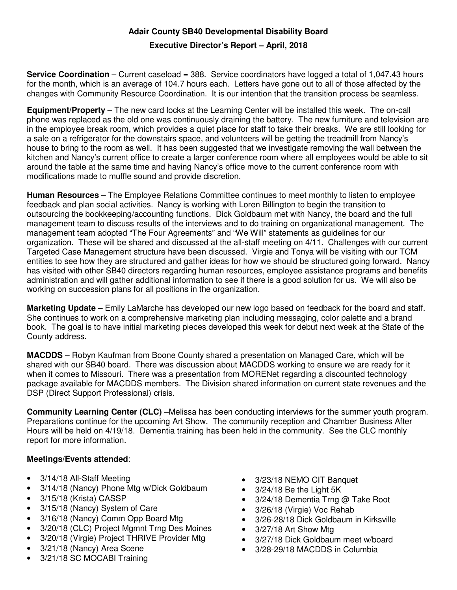## **Adair County SB40 Developmental Disability Board**

## **Executive Director's Report – April, 2018**

**Service Coordination** – Current caseload = 388. Service coordinators have logged a total of 1,047.43 hours for the month, which is an average of 104.7 hours each. Letters have gone out to all of those affected by the changes with Community Resource Coordination. It is our intention that the transition process be seamless.

**Equipment/Property** – The new card locks at the Learning Center will be installed this week. The on-call phone was replaced as the old one was continuously draining the battery. The new furniture and television are in the employee break room, which provides a quiet place for staff to take their breaks. We are still looking for a sale on a refrigerator for the downstairs space, and volunteers will be getting the treadmill from Nancy's house to bring to the room as well. It has been suggested that we investigate removing the wall between the kitchen and Nancy's current office to create a larger conference room where all employees would be able to sit around the table at the same time and having Nancy's office move to the current conference room with modifications made to muffle sound and provide discretion.

**Human Resources** – The Employee Relations Committee continues to meet monthly to listen to employee feedback and plan social activities. Nancy is working with Loren Billington to begin the transition to outsourcing the bookkeeping/accounting functions. Dick Goldbaum met with Nancy, the board and the full management team to discuss results of the interviews and to do training on organizational management. The management team adopted "The Four Agreements" and "We Will" statements as guidelines for our organization. These will be shared and discussed at the all-staff meeting on 4/11. Challenges with our current Targeted Case Management structure have been discussed. Virgie and Tonya will be visiting with our TCM entities to see how they are structured and gather ideas for how we should be structured going forward. Nancy has visited with other SB40 directors regarding human resources, employee assistance programs and benefits administration and will gather additional information to see if there is a good solution for us. We will also be working on succession plans for all positions in the organization.

**Marketing Update** – Emily LaMarche has developed our new logo based on feedback for the board and staff. She continues to work on a comprehensive marketing plan including messaging, color palette and a brand book. The goal is to have initial marketing pieces developed this week for debut next week at the State of the County address.

**MACDDS** – Robyn Kaufman from Boone County shared a presentation on Managed Care, which will be shared with our SB40 board. There was discussion about MACDDS working to ensure we are ready for it when it comes to Missouri. There was a presentation from MORENet regarding a discounted technology package available for MACDDS members. The Division shared information on current state revenues and the DSP (Direct Support Professional) crisis.

**Community Learning Center (CLC)** –Melissa has been conducting interviews for the summer youth program. Preparations continue for the upcoming Art Show. The community reception and Chamber Business After Hours will be held on 4/19/18. Dementia training has been held in the community. See the CLC monthly report for more information.

## **Meetings/Events attended**:

- 3/14/18 All-Staff Meeting
- 3/14/18 (Nancy) Phone Mtg w/Dick Goldbaum
- 3/15/18 (Krista) CASSP
- 3/15/18 (Nancy) System of Care
- 3/16/18 (Nancy) Comm Opp Board Mtg
- 3/20/18 (CLC) Project Mgmnt Trng Des Moines
- 3/20/18 (Virgie) Project THRIVE Provider Mtg
- 3/21/18 (Nancy) Area Scene
- 3/21/18 SC MOCABI Training
- 3/23/18 NEMO CIT Banquet
- 3/24/18 Be the Light 5K
- 3/24/18 Dementia Trng @ Take Root
- 3/26/18 (Virgie) Voc Rehab
- 3/26-28/18 Dick Goldbaum in Kirksville
- 3/27/18 Art Show Mta
- 3/27/18 Dick Goldbaum meet w/board
- 3/28-29/18 MACDDS in Columbia